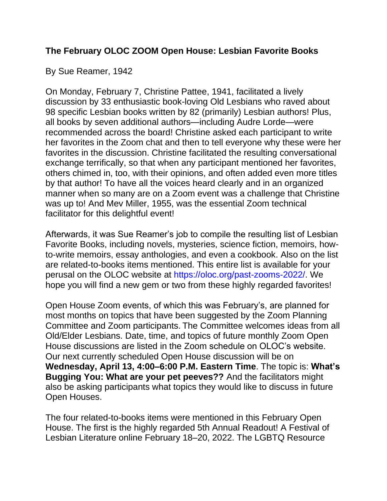## **The February OLOC ZOOM Open House: Lesbian Favorite Books**

## By Sue Reamer, 1942

On Monday, February 7, Christine Pattee, 1941, facilitated a lively discussion by 33 enthusiastic book-loving Old Lesbians who raved about 98 specific Lesbian books written by 82 (primarily) Lesbian authors! Plus, all books by seven additional authors—including Audre Lorde—were recommended across the board! Christine asked each participant to write her favorites in the Zoom chat and then to tell everyone why these were her favorites in the discussion. Christine facilitated the resulting conversational exchange terrifically, so that when any participant mentioned her favorites, others chimed in, too, with their opinions, and often added even more titles by that author! To have all the voices heard clearly and in an organized manner when so many are on a Zoom event was a challenge that Christine was up to! And Mev Miller, 1955, was the essential Zoom technical facilitator for this delightful event!

Afterwards, it was Sue Reamer's job to compile the resulting list of Lesbian Favorite Books, including novels, mysteries, science fiction, memoirs, howto-write memoirs, essay anthologies, and even a cookbook. Also on the list are related-to-books items mentioned. This entire list is available for your perusal on the OLOC website at https://oloc.org/past-zooms-2022/. We hope you will find a new gem or two from these highly regarded favorites!

Open House Zoom events, of which this was February's, are planned for most months on topics that have been suggested by the Zoom Planning Committee and Zoom participants. The Committee welcomes ideas from all Old/Elder Lesbians. Date, time, and topics of future monthly Zoom Open House discussions are listed in the Zoom schedule on OLOC's website. Our next currently scheduled Open House discussion will be on **Wednesday, April 13, 4:00–6:00 P.M. Eastern Time**. The topic is: **What's Bugging You: What are your pet peeves??** And the facilitators might also be asking participants what topics they would like to discuss in future Open Houses.

The four related-to-books items were mentioned in this February Open House. The first is the highly regarded 5th Annual Readout! A Festival of Lesbian Literature online February 18–20, 2022. The LGBTQ Resource